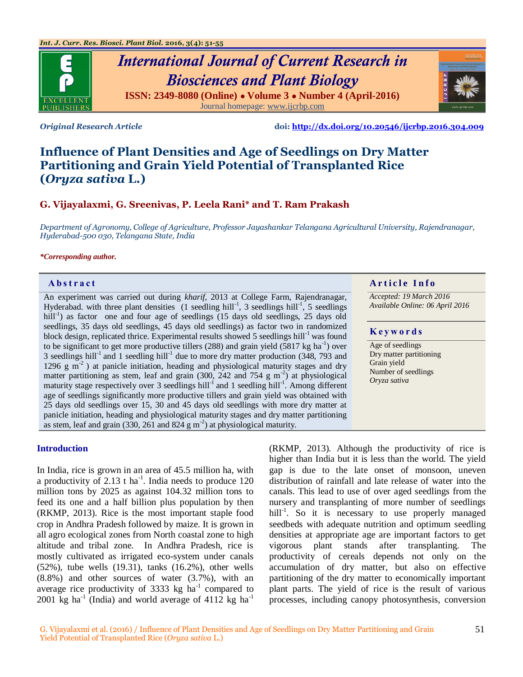

# *International Journal of Current Research in Biosciences and Plant Biology* **ISSN: 2349-8080 (Online) ● Volume 3 ● Number 4 (April-2016)** Journal homepage[: www.ijcrbp.com](http://www.ijcrbp.com/)

*Original Research Article* **doi:<http://dx.doi.org/10.20546/ijcrbp.2016.304.009>**

# **Influence of Plant Densities and Age of Seedlings on Dry Matter Partitioning and Grain Yield Potential of Transplanted Rice (***Oryza sativa* **L.)**

## **G. Vijayalaxmi, G. Sreenivas, P. Leela Rani\* and T. Ram Prakash**

*Department of Agronomy, College of Agriculture, Professor Jayashankar Telangana Agricultural University, Rajendranagar, Hyderabad-500 030, Telangana State, India*

#### *\*Corresponding author.*

An experiment was carried out during *kharif*, 2013 at College Farm, Rajendranagar, Hyderabad. with three plant densities  $(1$  seedling hill<sup>-1</sup>, 3 seedlings hill<sup>-1</sup>, 5 seedlings hill<sup>-1</sup>) as factor one and four age of seedlings (15 days old seedlings, 25 days old seedlings, 35 days old seedlings, 45 days old seedlings) as factor two in randomized block design, replicated thrice. Experimental results showed 5 seedlings hill<sup>-1</sup> was found to be significant to get more productive tillers (288) and grain yield  $(5817 \text{ kg ha}^{-1})$  over 3 seedlings hill<sup>-1</sup> and 1 seedling hill<sup>-1</sup> due to more dry matter production (348, 793 and 1296  $g$  m<sup>-2</sup>) at panicle initiation, heading and physiological maturity stages and dry matter partitioning as stem, leaf and grain  $(300, 242, 400, 754, g m<sup>-2</sup>)$  at physiological maturity stage respectively over 3 seedlings hill<sup>-1</sup> and 1 seedling hill<sup>-1</sup>. Among different age of seedlings significantly more productive tillers and grain yield was obtained with 25 days old seedlings over 15, 30 and 45 days old seedlings with more dry matter at panicle initiation, heading and physiological maturity stages and dry matter partitioning as stem, leaf and grain  $(330, 261 \text{ and } 824 \text{ g m}^{-2})$  at physiological maturity.

#### **Introduction**

In India, rice is grown in an area of 45.5 million ha, with a productivity of 2.13  $t$  ha<sup>-1</sup>. India needs to produce 120 million tons by 2025 as against 104.32 million tons to feed its one and a half billion plus population by then (RKMP, 2013). Rice is the most important staple food crop in Andhra Pradesh followed by maize. It is grown in all agro ecological zones from North coastal zone to high altitude and tribal zone. In Andhra Pradesh, rice is mostly cultivated as irrigated eco-system under canals (52%), tube wells (19.31), tanks (16.2%), other wells (8.8%) and other sources of water (3.7%), with an average rice productivity of 3333 kg  $ha^{-1}$  compared to 2001 kg ha<sup>-1</sup> (India) and world average of  $4112$  kg ha<sup>-1</sup>

(RKMP, 2013). Although the productivity of rice is higher than India but it is less than the world. The yield gap is due to the late onset of monsoon, uneven distribution of rainfall and late release of water into the canals. This lead to use of over aged seedlings from the nursery and transplanting of more number of seedlings hill<sup>-1</sup>. So it is necessary to use properly managed seedbeds with adequate nutrition and optimum seedling densities at appropriate age are important factors to get vigorous plant stands after transplanting. The productivity of cereals depends not only on the accumulation of dry matter, but also on effective partitioning of the dry matter to economically important plant parts. The yield of rice is the result of various

processes, including canopy photosynthesis, conversion

#### **Abstract And in the Info** section *Article Info*

*Accepted: 19 March 2016 Available Online: 06 April 2016*

#### **K e y w o r d s**

Age of seedlings Dry matter partitioning Grain yield Number of seedlings *Oryza sativa*

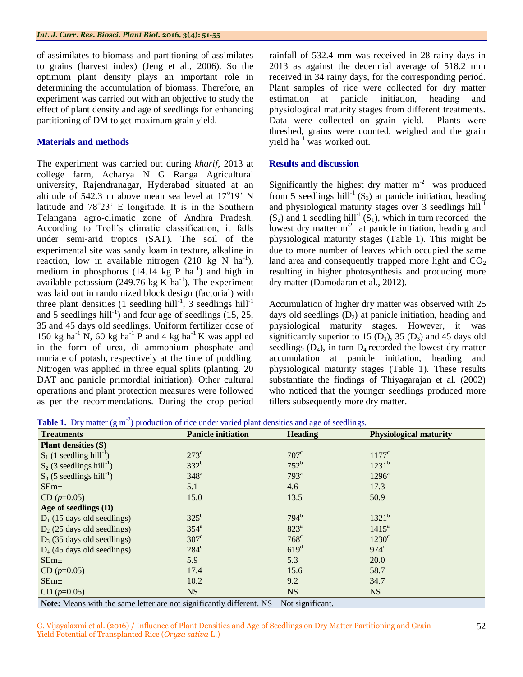of assimilates to biomass and partitioning of assimilates to grains (harvest index) (Jeng et al., 2006). So the optimum plant density plays an important role in determining the accumulation of biomass. Therefore, an experiment was carried out with an objective to study the effect of plant density and age of seedlings for enhancing partitioning of DM to get maximum grain yield.

#### **Materials and methods**

The experiment was carried out during *kharif*, 2013 at college farm, Acharya N G Ranga Agricultural university, Rajendranagar, Hyderabad situated at an altitude of 542.3 m above mean sea level at  $17^{\circ}19'$  N latitude and  $78^{\circ}23'$  E longitude. It is in the Southern Telangana agro-climatic zone of Andhra Pradesh. According to Troll's climatic classification, it falls under semi-arid tropics (SAT). The soil of the experimental site was sandy loam in texture, alkaline in reaction, low in available nitrogen  $(210 \text{ kg N} \text{ ha}^{-1})$ , medium in phosphorus  $(14.14 \text{ kg } P \text{ ha}^{-1})$  and high in available potassium (249.76 kg K ha<sup>-1</sup>). The experiment was laid out in randomized block design (factorial) with three plant densities (1 seedling hill<sup>-1</sup>, 3 seedlings hill<sup>-1</sup> and 5 seedlings hill<sup>-1</sup>) and four age of seedlings  $(15, 25,$ 35 and 45 days old seedlings. Uniform fertilizer dose of 150 kg ha<sup>-1</sup> N, 60 kg ha<sup>-1</sup> P and 4 kg ha<sup>-1</sup> K was applied in the form of urea, di ammonium phosphate and muriate of potash, respectively at the time of puddling. Nitrogen was applied in three equal splits (planting, 20 DAT and panicle primordial initiation). Other cultural operations and plant protection measures were followed as per the recommendations. During the crop period

rainfall of 532.4 mm was received in 28 rainy days in 2013 as against the decennial average of 518.2 mm received in 34 rainy days, for the corresponding period. Plant samples of rice were collected for dry matter estimation at panicle initiation, heading and physiological maturity stages from different treatments. Data were collected on grain yield. Plants were threshed, grains were counted, weighed and the grain yield  $ha^{-1}$  was worked out.

### **Results and discussion**

Significantly the highest dry matter  $m<sup>-2</sup>$  was produced from 5 seedlings hill<sup>-1</sup> (S<sub>3</sub>) at panicle initiation, heading and physiological maturity stages over 3 seedlings  $\text{hill}^{-1}$  $(S_2)$  and 1 seedling hill<sup>-1</sup>  $(S_1)$ , which in turn recorded the lowest dry matter  $m<sup>2</sup>$  at panicle initiation, heading and physiological maturity stages (Table 1). This might be due to more number of leaves which occupied the same land area and consequently trapped more light and  $CO<sub>2</sub>$ resulting in higher photosynthesis and producing more dry matter (Damodaran et al., 2012).

Accumulation of higher dry matter was observed with 25 days old seedlings  $(D_2)$  at panicle initiation, heading and physiological maturity stages. However, it was significantly superior to 15  $(D_1)$ , 35  $(D_3)$  and 45 days old seedlings  $(D_4)$ , in turn  $D_4$  recorded the lowest dry matter accumulation at panicle initiation, heading and physiological maturity stages (Table 1). These results substantiate the findings of Thiyagarajan et al. (2002) who noticed that the younger seedlings produced more tillers subsequently more dry matter.

**Table 1.** Dry matter  $(g m<sup>2</sup>)$  production of rice under varied plant densities and age of seedlings.

| <b>Treatments</b>                       | <b>Panicle initiation</b> | <b>Heading</b>                  | <b>Physiological maturity</b> |  |  |
|-----------------------------------------|---------------------------|---------------------------------|-------------------------------|--|--|
| <b>Plant densities (S)</b>              |                           |                                 |                               |  |  |
| $S_1$ (1 seedling hill <sup>-1</sup> )  | $273^{\circ}$             | $707^{\circ}$<br>$1177^{\circ}$ |                               |  |  |
| $S_2$ (3 seedlings hill <sup>-1</sup> ) | $332^b$                   | $752^b$                         | $1231^{b}$                    |  |  |
| $S_3$ (5 seedlings hill <sup>-1</sup> ) | $348^a$                   | $793^a$                         | $1296^a$                      |  |  |
| SEm <sub>±</sub>                        | 5.1                       | 4.6                             | 17.3                          |  |  |
| $CD (p=0.05)$                           | 15.0                      | 13.5                            | 50.9                          |  |  |
| Age of seedlings $(D)$                  |                           |                                 |                               |  |  |
| $D_1$ (15 days old seedlings)           | $325^{\rm b}$             | 794 <sup>b</sup>                | $1321^{b}$                    |  |  |
| $D_2$ (25 days old seedlings)           | 354 <sup>a</sup>          | 823 <sup>a</sup>                | $1415^a$                      |  |  |
| $D_3$ (35 days old seedlings)           | $307^{\circ}$             | $768^{\circ}$                   | $1230^{\circ}$                |  |  |
| $D_4$ (45 days old seedlings)           | $284^d$                   | 619 <sup>d</sup>                | $974^d$                       |  |  |
| SEm <sub>±</sub>                        | 5.9                       | 5.3                             | 20.0                          |  |  |
| $CD (p=0.05)$                           | 17.4                      | 15.6                            | 58.7                          |  |  |
| SEm <sub>±</sub>                        | 10.2                      | 9.2                             | 34.7                          |  |  |
| $CD (p=0.05)$                           | <b>NS</b>                 | <b>NS</b>                       | <b>NS</b>                     |  |  |

**Note:** Means with the same letter are not significantly different. NS – Not significant.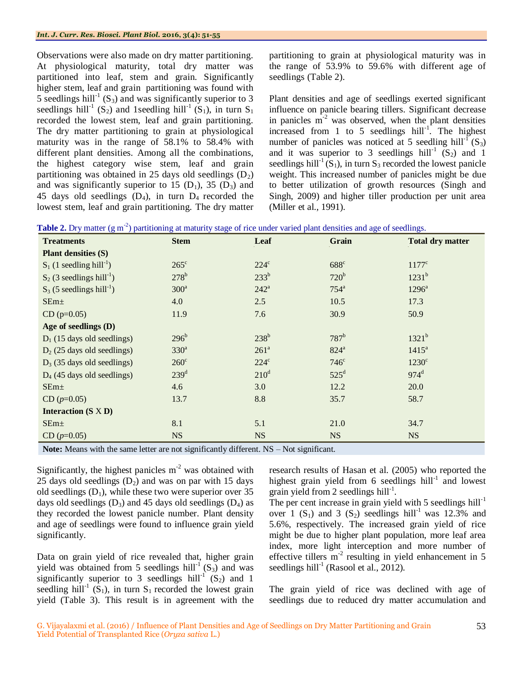Observations were also made on dry matter partitioning. At physiological maturity, total dry matter was partitioned into leaf, stem and grain. Significantly higher stem, leaf and grain partitioning was found with 5 seedlings hill<sup>-1</sup> (S<sub>3</sub>) and was significantly superior to 3 seedlings hill<sup>-1</sup> (S<sub>2</sub>) and 1seedling hill<sup>-1</sup> (S<sub>1</sub>), in turn S<sub>1</sub> recorded the lowest stem, leaf and grain partitioning. The dry matter partitioning to grain at physiological maturity was in the range of 58.1% to 58.4% with different plant densities. Among all the combinations, the highest category wise stem, leaf and grain partitioning was obtained in 25 days old seedlings  $(D_2)$ and was significantly superior to 15  $(D_1)$ , 35  $(D_3)$  and 45 days old seedlings  $(D_4)$ , in turn  $D_4$  recorded the lowest stem, leaf and grain partitioning. The dry matter partitioning to grain at physiological maturity was in the range of 53.9% to 59.6% with different age of seedlings (Table 2).

Plant densities and age of seedlings exerted significant influence on panicle bearing tillers. Significant decrease in panicles  $m<sup>2</sup>$  was observed, when the plant densities increased from 1 to 5 seedlings  $\text{hill}^{-1}$ . The highest number of panicles was noticed at 5 seedling hill<sup>- $\Gamma$ </sup> (S<sub>3</sub>) and it was superior to 3 seedlings hill<sup>-1</sup>  $(S_2)$  and 1 seedlings hill<sup>-1</sup> (S<sub>1</sub>), in turn S<sub>3</sub> recorded the lowest panicle weight. This increased number of panicles might be due to better utilization of growth resources (Singh and Singh, 2009) and higher tiller production per unit area (Miller et al., 1991).

|  |  | <b>Table 2.</b> Dry matter $(g m-2)$ partitioning at maturity stage of rice under varied plant densities and age of seedlings. |
|--|--|--------------------------------------------------------------------------------------------------------------------------------|
|  |  |                                                                                                                                |
|  |  |                                                                                                                                |

| <b>Treatments</b>                       | <b>Stem</b>      | Leaf             | Grain            | <b>Total dry matter</b> |  |
|-----------------------------------------|------------------|------------------|------------------|-------------------------|--|
| <b>Plant densities (S)</b>              |                  |                  |                  |                         |  |
| $S_1$ (1 seedling hill <sup>-1</sup> )  | $265^{\circ}$    | $224^{\circ}$    | 688 <sup>c</sup> | $1177^{\circ}$          |  |
| $S_2$ (3 seedlings hill <sup>-1</sup> ) | $278^b$          | $233^b$          | $720^b$          | $1231^b$                |  |
| $S_3$ (5 seedlings hill <sup>-1</sup> ) | $300^a$          | $242^a$          | $754^a$          | $1296^a$                |  |
| SEm <sub>±</sub>                        | 4.0              | 2.5              | 10.5             | 17.3                    |  |
| $CD (p=0.05)$                           | 11.9             | 7.6              | 30.9             | 50.9                    |  |
| Age of seedlings (D)                    |                  |                  |                  |                         |  |
| $D_1$ (15 days old seedlings)           | $296^b$          | $238^b$          | $787^b$          | $1321^b$                |  |
| $D_2$ (25 days old seedlings)           | 330 <sup>a</sup> | 261 <sup>a</sup> | $824^a$          | $1415^a$                |  |
| $D_3$ (35 days old seedlings)           | $260^\circ$      | $224^{\circ}$    | $746^{\circ}$    | $1230^{\circ}$          |  |
| $D_4$ (45 days old seedlings)           | 239 <sup>d</sup> | $210^d$          | $525^{\rm d}$    | $974^d$                 |  |
| SEm <sub>±</sub>                        | 4.6              | 3.0              | 12.2             | 20.0                    |  |
| $CD (p=0.05)$                           | 13.7             | 8.8              | 35.7             | 58.7                    |  |
| <b>Interaction</b> $(S \times D)$       |                  |                  |                  |                         |  |
| SEm <sub>±</sub>                        | 8.1              | 5.1              | 21.0             | 34.7                    |  |
| $CD (p=0.05)$                           | <b>NS</b>        | <b>NS</b>        | <b>NS</b>        | <b>NS</b>               |  |
|                                         |                  |                  |                  |                         |  |

Note: Means with the same letter are not significantly different. NS – Not significant.

Significantly, the highest panicles  $m<sup>-2</sup>$  was obtained with 25 days old seedlings  $(D_2)$  and was on par with 15 days old seedlings  $(D_1)$ , while these two were superior over 35 days old seedlings  $(D_3)$  and 45 days old seedlings  $(D_4)$  as they recorded the lowest panicle number. Plant density and age of seedlings were found to influence grain yield significantly.

Data on grain yield of rice revealed that, higher grain yield was obtained from 5 seedlings hill<sup>-1</sup>  $(S_3)$  and was significantly superior to 3 seedlings hill<sup>-1</sup>  $(S_2)$  and 1 seedling hill<sup>-1</sup> (S<sub>1</sub>), in turn S<sub>1</sub> recorded the lowest grain yield (Table 3). This result is in agreement with the research results of Hasan et al. (2005) who reported the highest grain yield from 6 seedlings  $hill<sup>-1</sup>$  and lowest grain yield from 2 seedlings  $hill<sup>-1</sup>$ .

The per cent increase in grain yield with 5 seedlings  $\text{hill}^{-1}$ over 1  $(S_1)$  and 3  $(S_2)$  seedlings hill<sup>-1</sup> was 12.3% and 5.6%, respectively. The increased grain yield of rice might be due to higher plant population, more leaf area index, more light interception and more number of effective tillers  $m<sup>2</sup>$  resulting in yield enhancement in 5 seedlings hill<sup>-1</sup> (Rasool et al., 2012).

The grain yield of rice was declined with age of seedlings due to reduced dry matter accumulation and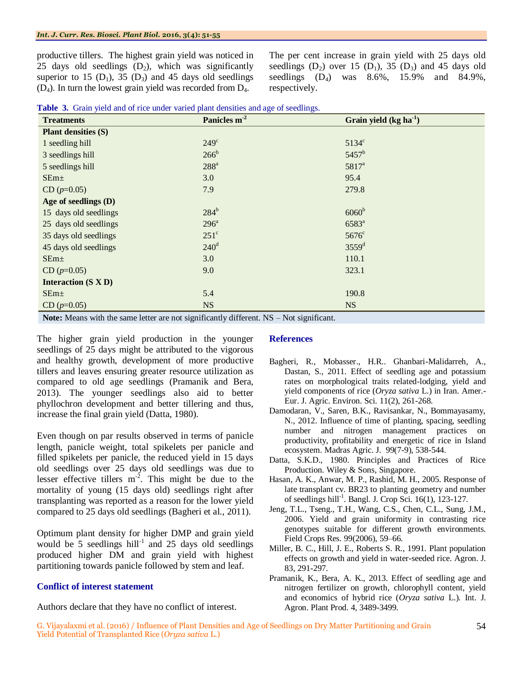productive tillers. The highest grain yield was noticed in 25 days old seedlings  $(D_2)$ , which was significantly superior to 15  $(D_1)$ , 35  $(D_3)$  and 45 days old seedlings (D4). In turn the lowest grain yield was recorded from D4.

The per cent increase in grain yield with 25 days old seedlings  $(D_2)$  over 15  $(D_1)$ , 35  $(D_3)$  and 45 days old seedlings  $(D_4)$  was  $8.6\%$ , 15.9% and  $84.9\%$ , respectively.

|  |  |  |  |  |  |  |  |  |  |  |  | Table 3. Grain yield and of rice under varied plant densities and age of seedlings. |  |
|--|--|--|--|--|--|--|--|--|--|--|--|-------------------------------------------------------------------------------------|--|
|--|--|--|--|--|--|--|--|--|--|--|--|-------------------------------------------------------------------------------------|--|

| <b>Treatments</b>          | Panicles m <sup>-2</sup> | Grain yield $(kg ha-1)$ |
|----------------------------|--------------------------|-------------------------|
| <b>Plant densities (S)</b> |                          |                         |
| 1 seedling hill            | $249^\circ$              | $5134^{\circ}$          |
| 3 seedlings hill           | $266^b$                  | 5457 <sup>b</sup>       |
| 5 seedlings hill           | $288^{\rm a}$            | 5817 <sup>a</sup>       |
| SEm <sub>±</sub>           | 3.0                      | 95.4                    |
| $CD (p=0.05)$              | 7.9                      | 279.8                   |
| Age of seedlings (D)       |                          |                         |
| 15 days old seedlings      | $284^b$                  | 6060 <sup>b</sup>       |
| 25 days old seedlings      | $296^{\mathrm{a}}$       | $6583^{a}$              |
| 35 days old seedlings      | $251^{\circ}$            | $5676^{\circ}$          |
| 45 days old seedlings      | $240^{\rm d}$            | 3559 <sup>d</sup>       |
| SEm <sub>±</sub>           | 3.0                      | 110.1                   |
| $CD (p=0.05)$              | 9.0                      | 323.1                   |
| <b>Interaction (S X D)</b> |                          |                         |
| SEm <sub>±</sub>           | 5.4                      | 190.8                   |
| $CD (p=0.05)$              | <b>NS</b>                | <b>NS</b>               |

**Note:** Means with the same letter are not significantly different. NS – Not significant.

The higher grain yield production in the younger seedlings of 25 days might be attributed to the vigorous and healthy growth, development of more productive tillers and leaves ensuring greater resource utilization as compared to old age seedlings (Pramanik and Bera, 2013). The younger seedlings also aid to better phyllochron development and better tillering and thus, increase the final grain yield (Datta, 1980).

Even though on par results observed in terms of panicle length, panicle weight, total spikelets per panicle and filled spikelets per panicle, the reduced yield in 15 days old seedlings over 25 days old seedlings was due to lesser effective tillers  $m^{-2}$ . This might be due to the mortality of young (15 days old) seedlings right after transplanting was reported as a reason for the lower yield compared to 25 days old seedlings (Bagheri et al., 2011).

Optimum plant density for higher DMP and grain yield would be  $5$  seedlings hill<sup>-1</sup> and 25 days old seedlings produced higher DM and grain yield with highest partitioning towards panicle followed by stem and leaf.

#### **Conflict of interest statement**

Authors declare that they have no conflict of interest.

### **References**

- Bagheri, R., Mobasser., H.R.. Ghanbari-Malidarreh, A., Dastan, S., 2011*.* Effect of seedling age and potassium rates on morphological traits related-lodging, yield and yield components of rice (*Oryza sativa* L.) in Iran. Amer.- Eur. J. Agric. Environ. Sci. 11(2), 261-268.
- Damodaran, V., Saren, B.K., Ravisankar, N., Bommayasamy, N., 2012. Influence of time of planting, spacing, seedling number and nitrogen management practices on productivity, profitability and energetic of rice in Island ecosystem. Madras Agric. J. 99(7-9), 538-544.
- Datta, S.K.D., 1980. Principles and Practices of Rice Production. Wiley & Sons, Singapore.
- Hasan, A. K., Anwar, M. P., Rashid, M. H., 2005. Response of late transplant cv. BR23 to planting geometry and number of seedlings hill<sup>-1</sup>. Bangl. J. Crop Sci. 16(1), 123-127.
- Jeng, T.L., Tseng., T.H., Wang, C.S., Chen, C.L., Sung, J.M., 2006. Yield and grain uniformity in contrasting rice genotypes suitable for different growth environments. Field Crops Res. 99(2006), 59–66.
- Miller, B. C., Hill, J. E., Roberts S. R., 1991. Plant population effects on growth and yield in water-seeded rice. Agron. J. 83, 291-297.
- Pramanik, K., Bera, A. K., 2013. Effect of seedling age and nitrogen fertilizer on growth, chlorophyll content, yield and economics of hybrid rice (*Oryza sativa* L.). Int. J. Agron. Plant Prod. 4, 3489-3499.